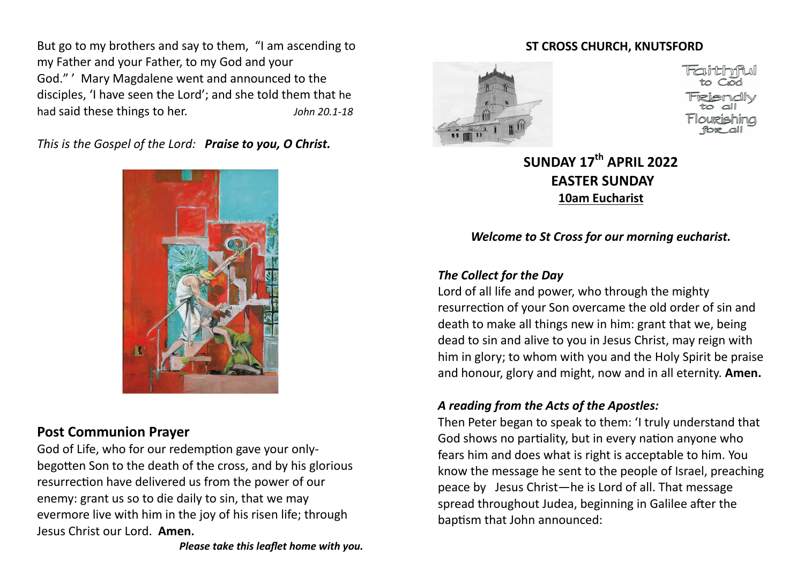But go to my brothers and say to them, "I am ascending to my Father and your Father, to my God and your God." ' Mary Magdalene went and announced to the disciples, 'I have seen the Lord'; and she told them that he had said these things to her. *John 20.1-18*

*This is the Gospel of the Lord: Praise to you, O Christ.*



# **Post Communion Prayer**

God of Life, who for our redemption gave your onlybegotten Son to the death of the cross, and by his glorious resurrection have delivered us from the power of our enemy: grant us so to die daily to sin, that we may evermore live with him in the joy of his risen life; through Jesus Christ our Lord. **Amen.** 

### **ST CROSS CHURCH, KNUTSFORD**



**SUNDAY 17th APRIL 2022 EASTER SUNDAY 10am Eucharist**

*Welcome to St Cross for our morning eucharist.* 

# *The Collect for the Day*

Lord of all life and power, who through the mighty resurrection of your Son overcame the old order of sin and death to make all things new in him: grant that we, being dead to sin and alive to you in Jesus Christ, may reign with him in glory; to whom with you and the Holy Spirit be praise and honour, glory and might, now and in all eternity. **Amen.** 

# *A reading from the Acts of the Apostles:*

Then Peter began to speak to them: 'I truly understand that God shows no partiality, but in every nation anyone who fears him and does what is right is acceptable to him. You know the message he sent to the people of Israel, preaching peace by Jesus Christ—he is Lord of all. That message spread throughout Judea, beginning in Galilee after the baptism that John announced: